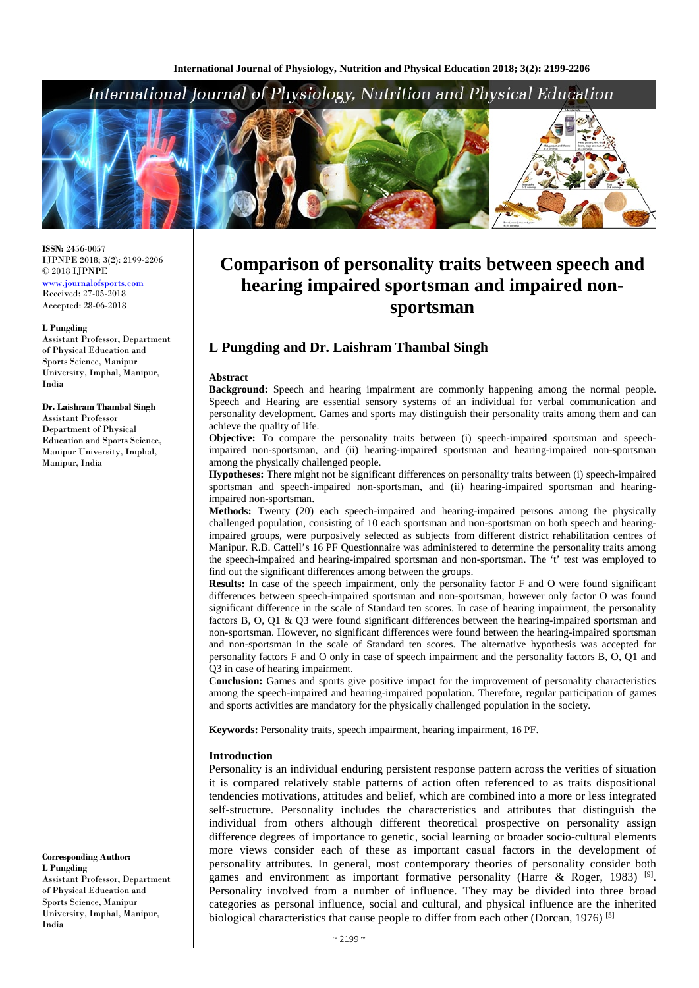## International Journal of Physiology, Nutrition and Physical Education



**ISSN:** 2456-0057 IJPNPE 2018; 3(2): 2199-2206 © 2018 IJPNPE [www.journalofsports.com](http://www.journalofsports.com/) Received: 27-05-2018 Accepted: 28-06-2018

#### **L Pungding**

Assistant Professor, Department of Physical Education and Sports Science, Manipur University, Imphal, Manipur, India

#### **Dr. Laishram Thambal Singh**

Assistant Professor Department of Physical Education and Sports Science, Manipur University, Imphal, Manipur, India

**Corresponding Author: L Pungding** Assistant Professor, Department of Physical Education and Sports Science, Manipur University, Imphal, Manipur, India

# **Comparison of personality traits between speech and hearing impaired sportsman and impaired nonsportsman**

### **L Pungding and Dr. Laishram Thambal Singh**

#### **Abstract**

**Background:** Speech and hearing impairment are commonly happening among the normal people. Speech and Hearing are essential sensory systems of an individual for verbal communication and personality development. Games and sports may distinguish their personality traits among them and can achieve the quality of life.

**Objective:** To compare the personality traits between (i) speech-impaired sportsman and speechimpaired non-sportsman, and (ii) hearing-impaired sportsman and hearing-impaired non-sportsman among the physically challenged people.

**Hypotheses:** There might not be significant differences on personality traits between (i) speech-impaired sportsman and speech-impaired non-sportsman, and (ii) hearing-impaired sportsman and hearingimpaired non-sportsman.

**Methods:** Twenty (20) each speech-impaired and hearing-impaired persons among the physically challenged population, consisting of 10 each sportsman and non-sportsman on both speech and hearingimpaired groups, were purposively selected as subjects from different district rehabilitation centres of Manipur. R.B. Cattell's 16 PF Questionnaire was administered to determine the personality traits among the speech-impaired and hearing-impaired sportsman and non-sportsman. The 't' test was employed to find out the significant differences among between the groups.

**Results:** In case of the speech impairment, only the personality factor F and O were found significant differences between speech-impaired sportsman and non-sportsman, however only factor O was found significant difference in the scale of Standard ten scores. In case of hearing impairment, the personality factors B, O, Q1 & Q3 were found significant differences between the hearing-impaired sportsman and non-sportsman. However, no significant differences were found between the hearing-impaired sportsman and non-sportsman in the scale of Standard ten scores. The alternative hypothesis was accepted for personality factors F and O only in case of speech impairment and the personality factors B, O, Q1 and Q3 in case of hearing impairment.

**Conclusion:** Games and sports give positive impact for the improvement of personality characteristics among the speech-impaired and hearing-impaired population. Therefore, regular participation of games and sports activities are mandatory for the physically challenged population in the society.

**Keywords:** Personality traits, speech impairment, hearing impairment, 16 PF.

#### **Introduction**

Personality is an individual enduring persistent response pattern across the verities of situation it is compared relatively stable patterns of action often referenced to as traits dispositional tendencies motivations, attitudes and belief, which are combined into a more or less integrated self-structure. Personality includes the characteristics and attributes that distinguish the individual from others although different theoretical prospective on personality assign difference degrees of importance to genetic, social learning or broader socio-cultural elements more views consider each of these as important casual factors in the development of personality attributes. In general, most contemporary theories of personality consider both games and environment as important formative personality (Harre & Roger, 1983)<sup>[9]</sup>. Personality involved from a number of influence. They may be divided into three broad categories as personal influence, social and cultural, and physical influence are the inherited biological characteristics that cause people to differ from each other (Dorcan, 1976) [5]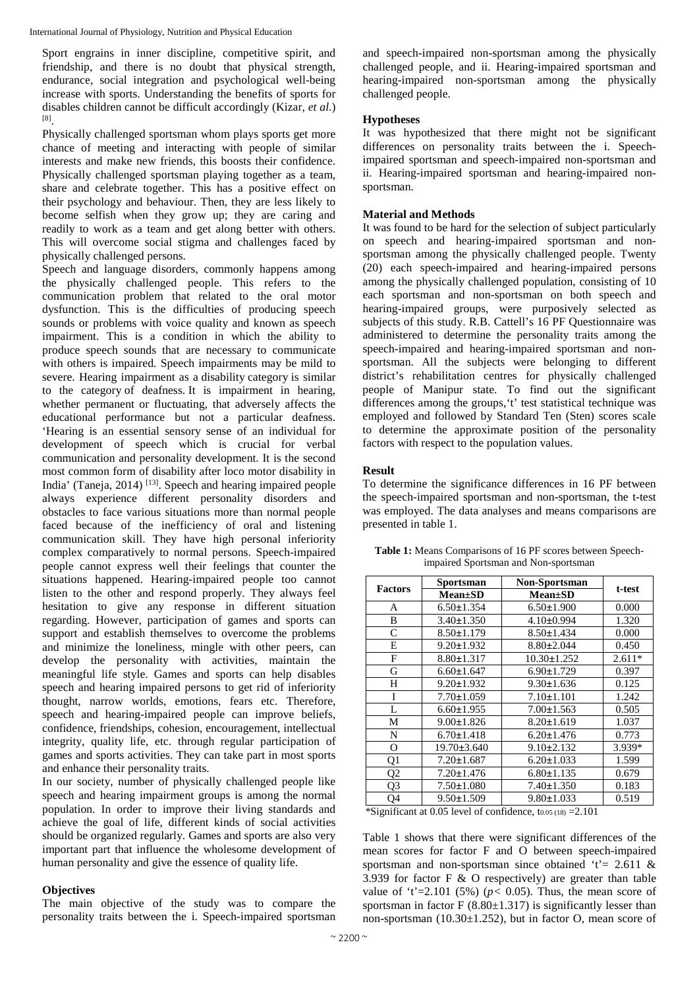Sport engrains in inner discipline, competitive spirit, and friendship, and there is no doubt that physical strength, endurance, social integration and psychological well-being increase with sports. Understanding the benefits of sports for disables children cannot be difficult accordingly (Kizar, *et al*.) [8].

Physically challenged sportsman whom plays sports get more chance of meeting and interacting with people of similar interests and make new friends, this boosts their confidence. Physically challenged sportsman playing together as a team, share and celebrate together. This has a positive effect on their psychology and behaviour. Then, they are less likely to become selfish when they grow up; they are caring and readily to work as a team and get along better with others. This will overcome social stigma and challenges faced by physically challenged persons.

Speech and language disorders, commonly happens among the physically challenged people. This refers to the communication problem that related to the oral motor dysfunction. This is the difficulties of producing speech sounds or problems with voice quality and known as speech impairment. This is a condition in which the ability to produce speech sounds that are necessary to communicate with others is impaired. Speech impairments may be mild to severe. Hearing impairment as a disability category is similar to the category of deafness. It is impairment in hearing, whether permanent or fluctuating, that adversely affects the educational performance but not a particular deafness. 'Hearing is an essential sensory sense of an individual for development of speech which is crucial for verbal communication and personality development. It is the second most common form of disability after loco motor disability in India' (Taneja, 2014) [13]. Speech and hearing impaired people always experience different personality disorders and obstacles to face various situations more than normal people faced because of the inefficiency of oral and listening communication skill. They have high personal inferiority complex comparatively to normal persons. Speech-impaired people cannot express well their feelings that counter the situations happened. Hearing-impaired people too cannot listen to the other and respond properly. They always feel hesitation to give any response in different situation regarding. However, participation of games and sports can support and establish themselves to overcome the problems and minimize the loneliness, mingle with other peers, can develop the personality with activities, maintain the meaningful life style. Games and sports can help disables speech and hearing impaired persons to get rid of inferiority thought, narrow worlds, emotions, fears etc. Therefore, speech and hearing-impaired people can improve beliefs, confidence, friendships, cohesion, encouragement, intellectual integrity, quality life, etc. through regular participation of games and sports activities. They can take part in most sports and enhance their personality traits.

In our society, number of physically challenged people like speech and hearing impairment groups is among the normal population. In order to improve their living standards and achieve the goal of life, different kinds of social activities should be organized regularly. Games and sports are also very important part that influence the wholesome development of human personality and give the essence of quality life.

#### **Objectives**

The main objective of the study was to compare the personality traits between the i. Speech-impaired sportsman

and speech-impaired non-sportsman among the physically challenged people, and ii. Hearing-impaired sportsman and hearing-impaired non-sportsman among the physically challenged people.

#### **Hypotheses**

It was hypothesized that there might not be significant differences on personality traits between the i. Speechimpaired sportsman and speech-impaired non-sportsman and ii. Hearing-impaired sportsman and hearing-impaired nonsportsman.

#### **Material and Methods**

It was found to be hard for the selection of subject particularly on speech and hearing-impaired sportsman and nonsportsman among the physically challenged people. Twenty (20) each speech-impaired and hearing-impaired persons among the physically challenged population, consisting of 10 each sportsman and non-sportsman on both speech and hearing-impaired groups, were purposively selected as subjects of this study. R.B. Cattell's 16 PF Questionnaire was administered to determine the personality traits among the speech-impaired and hearing-impaired sportsman and nonsportsman. All the subjects were belonging to different district's rehabilitation centres for physically challenged people of Manipur state. To find out the significant differences among the groups,'t' test statistical technique was employed and followed by Standard Ten (Sten) scores scale to determine the approximate position of the personality factors with respect to the population values.

#### **Result**

To determine the significance differences in 16 PF between the speech-impaired sportsman and non-sportsman, the t-test was employed. The data analyses and means comparisons are presented in table 1.

|                                         | Sportsman                                                                   | <b>Non-Sportsman</b>                         | t-test   |  |  |
|-----------------------------------------|-----------------------------------------------------------------------------|----------------------------------------------|----------|--|--|
| <b>Factors</b>                          | <b>Mean</b> ±SD                                                             | <b>Mean</b> ±SD                              |          |  |  |
| A                                       | $6.50 \pm 1.354$                                                            | $6.50 \pm 1.900$                             | 0.000    |  |  |
| B                                       | $3.40 \pm 1.350$                                                            | $4.10\pm0.994$                               | 1.320    |  |  |
| $\mathsf{C}$                            | $8.50 \pm 1.179$                                                            | $8.50 \pm 1.434$                             | 0.000    |  |  |
| E                                       | $9.20 \pm 1.932$                                                            | $8.80 \pm 2.044$                             | 0.450    |  |  |
| F                                       | $8.80 \pm 1.317$                                                            | $10.30 \pm 1.252$                            | $2.611*$ |  |  |
| G                                       | $6.60 \pm 1.647$                                                            | $6.90 \pm 1.729$                             | 0.397    |  |  |
| Η                                       | $9.20 \pm 1.932$                                                            | $9.30 \pm 1.636$                             | 0.125    |  |  |
| I                                       | $7.70 \pm 1.059$                                                            | $7.10 \pm 1.101$                             | 1.242    |  |  |
| L                                       | $6.60 \pm 1.955$                                                            | $7.00 \pm 1.563$                             | 0.505    |  |  |
| M                                       | $9.00 \pm 1.826$                                                            | $8.20 \pm 1.619$                             | 1.037    |  |  |
| N                                       | $6.70 \pm 1.418$                                                            | $6.20 \pm 1.476$                             | 0.773    |  |  |
| О                                       | $19.70 \pm 3.640$                                                           | $9.10 \pm 2.132$                             | 3.939*   |  |  |
| Q1                                      | $7.20 \pm 1.687$                                                            | $6.20 \pm 1.033$                             | 1.599    |  |  |
| Q <sub>2</sub>                          | $7.20 \pm 1.476$                                                            | $6.80 \pm 1.135$                             | 0.679    |  |  |
| Q3                                      | $7.50 \pm 1.080$                                                            | $7.40 \pm 1.350$                             | 0.183    |  |  |
| Q4<br>$\cdot$ $\sim$<br>20 <sup>4</sup> | $9.50 \pm 1.509$<br>$\sim$ $\sim$ $\sim$ $\sim$ $\sim$ $\sim$ $\sim$ $\sim$ | $9.80 \pm 1.033$<br>$\sim$ 1 $\sim$<br>0.101 | 0.519    |  |  |

**Table 1:** Means Comparisons of 16 PF scores between Speechimpaired Sportsman and Non-sportsman

\*Significant at 0.05 level of confidence,  $t_{0.05 (18)} = 2.101$ 

Table 1 shows that there were significant differences of the mean scores for factor F and O between speech-impaired sportsman and non-sportsman since obtained 't' =  $2.611 \&$ 3.939 for factor  $F \& O$  respectively) are greater than table value of 't'=2.101 (5%) ( $p < 0.05$ ). Thus, the mean score of sportsman in factor  $F(8.80 \pm 1.317)$  is significantly lesser than non-sportsman  $(10.30 \pm 1.252)$ , but in factor O, mean score of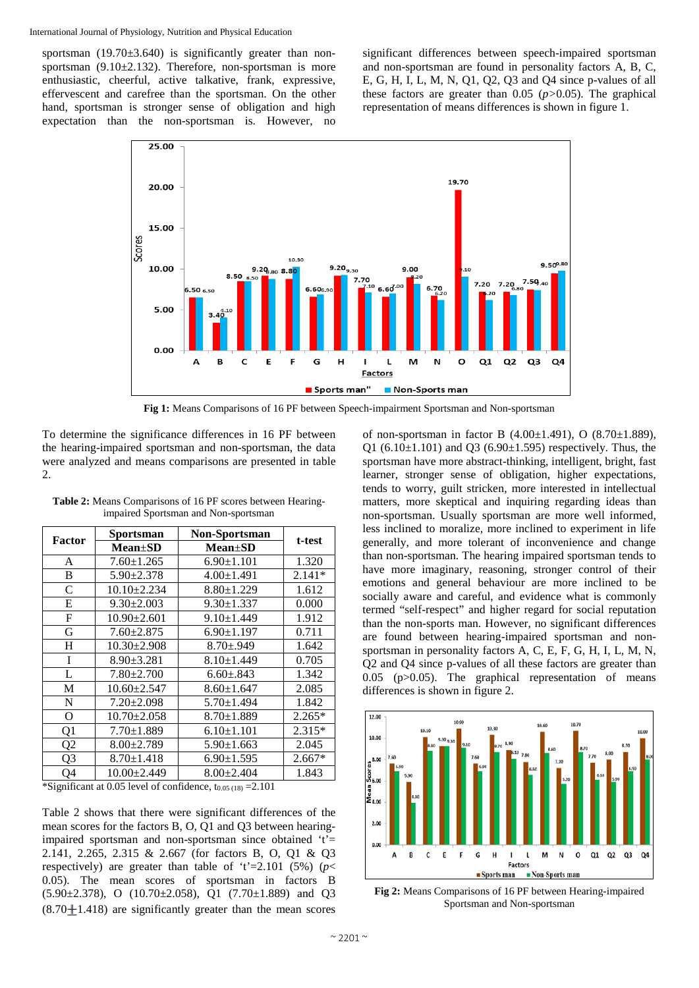sportsman  $(19.70 \pm 3.640)$  is significantly greater than nonsportsman (9.10±2.132). Therefore, non-sportsman is more enthusiastic, cheerful, active talkative, frank, expressive, effervescent and carefree than the sportsman. On the other hand, sportsman is stronger sense of obligation and high expectation than the non-sportsman is. However, no significant differences between speech-impaired sportsman and non-sportsman are found in personality factors A, B, C, E, G, H, I, L, M, N, Q1, Q2, Q3 and Q4 since p-values of all these factors are greater than 0.05 (*p>*0.05). The graphical representation of means differences is shown in figure 1.



**Fig 1:** Means Comparisons of 16 PF between Speech-impairment Sportsman and Non-sportsman

To determine the significance differences in 16 PF between the hearing-impaired sportsman and non-sportsman, the data were analyzed and means comparisons are presented in table 2.

| Factor         | <b>Sportsman</b>  | Non-Sportsman    | t-test   |  |  |
|----------------|-------------------|------------------|----------|--|--|
|                | $Mean \pm SD$     | $Mean \pm SD$    |          |  |  |
| A              | $7.60 \pm 1.265$  | $6.90 \pm 1.101$ | 1.320    |  |  |
| B              | $5.90 \pm 2.378$  | $4.00 \pm 1.491$ | $2.141*$ |  |  |
| $\mathsf{C}$   | $10.10 \pm 2.234$ | $8.80 \pm 1.229$ | 1.612    |  |  |
| E              | $9.30 \pm 2.003$  | $9.30 \pm 1.337$ | 0.000    |  |  |
| F              | $10.90 \pm 2.601$ | $9.10 \pm 1.449$ | 1.912    |  |  |
| G              | $7.60 \pm 2.875$  | $6.90 \pm 1.197$ | 0.711    |  |  |
| H              | $10.30 \pm 2.908$ | $8.70 \pm 0.949$ | 1.642    |  |  |
| I              | $8.90 \pm 3.281$  | $8.10 \pm 1.449$ | 0.705    |  |  |
| L              | $7.80 \pm 2.700$  | $6.60 \pm .843$  | 1.342    |  |  |
| М              | $10.60 \pm 2.547$ | $8.60 \pm 1.647$ | 2.085    |  |  |
| $\mathbf N$    | $7.20 \pm 2.098$  | $5.70 \pm 1.494$ | 1.842    |  |  |
| O              | $10.70 \pm 2.058$ | $8.70 \pm 1.889$ | $2.265*$ |  |  |
| Q <sub>1</sub> | $7.70 \pm 1.889$  | $6.10 \pm 1.101$ | $2.315*$ |  |  |
| Q <sub>2</sub> | $8.00 \pm 2.789$  | $5.90 \pm 1.663$ | 2.045    |  |  |
| Q3             | $8.70 \pm 1.418$  | $6.90 \pm 1.595$ | $2.667*$ |  |  |
| Q4             | $10.00 \pm 2.449$ | $8.00 \pm 2.404$ | 1.843    |  |  |

**Table 2:** Means Comparisons of 16 PF scores between Hearingimpaired Sportsman and Non-sportsman

\*Significant at 0.05 level of confidence,  $t_{0.05 (18)} = 2.101$ 

Table 2 shows that there were significant differences of the mean scores for the factors B, O, Q1 and Q3 between hearingimpaired sportsman and non-sportsman since obtained  $t'$ = 2.141, 2.265, 2.315 & 2.667 (for factors B, O, Q1 & Q3 respectively) are greater than table of 't'=2.101 (5%) ( $p$  < 0.05). The mean scores of sportsman in factors B (5.90±2.378), O (10.70±2.058), Q1 (7.70±1.889) and Q3  $(8.70 \pm 1.418)$  are significantly greater than the mean scores

of non-sportsman in factor B  $(4.00 \pm 1.491)$ , O  $(8.70 \pm 1.889)$ , Q1 (6.10 $\pm$ 1.101) and Q3 (6.90 $\pm$ 1.595) respectively. Thus, the sportsman have more abstract-thinking, intelligent, bright, fast learner, stronger sense of obligation, higher expectations, tends to worry, guilt stricken, more interested in intellectual matters, more skeptical and inquiring regarding ideas than non-sportsman. Usually sportsman are more well informed, less inclined to moralize, more inclined to experiment in life generally, and more tolerant of inconvenience and change than non-sportsman. The hearing impaired sportsman tends to have more imaginary, reasoning, stronger control of their emotions and general behaviour are more inclined to be socially aware and careful, and evidence what is commonly termed "self-respect" and higher regard for social reputation than the non-sports man. However, no significant differences are found between hearing-impaired sportsman and nonsportsman in personality factors A, C, E, F, G, H, I, L, M, N, Q2 and Q4 since p-values of all these factors are greater than 0.05 (p>0.05). The graphical representation of means differences is shown in figure 2.



**Fig 2:** Means Comparisons of 16 PF between Hearing-impaired Sportsman and Non-sportsman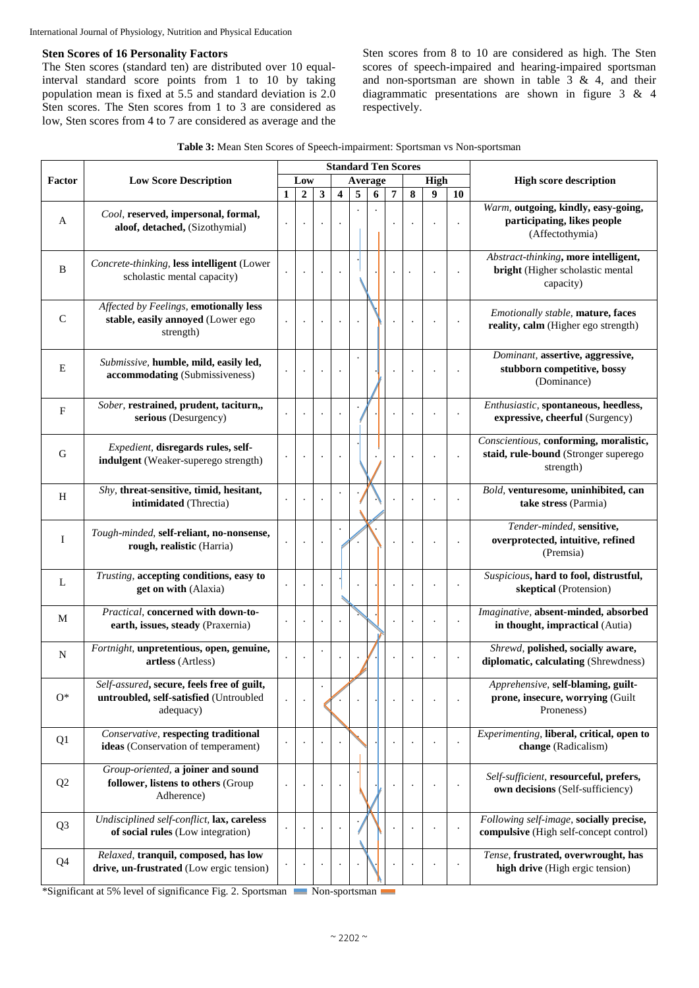#### **Sten Scores of 16 Personality Factors**

The Sten scores (standard ten) are distributed over 10 equalinterval standard score points from 1 to 10 by taking population mean is fixed at 5.5 and standard deviation is 2.0 Sten scores. The Sten scores from 1 to 3 are considered as low, Sten scores from 4 to 7 are considered as average and the Sten scores from 8 to 10 are considered as high. The Sten scores of speech-impaired and hearing-impaired sportsman and non-sportsman are shown in table  $3 \& 4$ , and their diagrammatic presentations are shown in figure 3 & 4 respectively.

|  |  |  |  |  | Table 3: Mean Sten Scores of Speech-impairment: Sportsman vs Non-sportsman |
|--|--|--|--|--|----------------------------------------------------------------------------|
|--|--|--|--|--|----------------------------------------------------------------------------|

|                |                                                                                                   |                      |                      |                      |                      |   |         |                | <b>Standard Ten Scores</b> |      |         |                                                                                             |
|----------------|---------------------------------------------------------------------------------------------------|----------------------|----------------------|----------------------|----------------------|---|---------|----------------|----------------------------|------|---------|---------------------------------------------------------------------------------------------|
| Factor         | <b>Low Score Description</b>                                                                      |                      | Low                  |                      |                      |   | Average |                |                            | High |         | <b>High score description</b>                                                               |
|                |                                                                                                   | 1                    | $\overline{2}$       | $\mathbf{3}$         | 4                    | 5 | 6       | $\overline{7}$ | 8                          | 9    | 10      |                                                                                             |
| A              | Cool, reserved, impersonal, formal,<br>aloof, detached, (Sizothymial)                             | $\ddot{\phantom{0}}$ |                      | $\ddot{\phantom{0}}$ | $\ddot{\phantom{0}}$ |   |         |                |                            |      |         | Warm, outgoing, kindly, easy-going,<br>participating, likes people<br>(Affectothymia)       |
| B              | Concrete-thinking, less intelligent (Lower<br>scholastic mental capacity)                         | $\cdot$              | $\ddot{\phantom{a}}$ | $\cdot$              | $\cdot$              |   |         |                |                            |      |         | Abstract-thinking, more intelligent,<br>bright (Higher scholastic mental<br>capacity)       |
| $\mathsf{C}$   | Affected by Feelings, emotionally less<br>stable, easily annoyed (Lower ego<br>strength)          |                      |                      | $\ddot{\phantom{0}}$ | $\cdot$              |   |         |                |                            |      |         | Emotionally stable, mature, faces<br>reality, calm (Higher ego strength)                    |
| E              | Submissive, humble, mild, easily led,<br>accommodating (Submissiveness)                           | $\ddot{\phantom{0}}$ | $\blacksquare$       | $\cdot$              | $\ddot{\phantom{0}}$ |   |         |                |                            |      |         | Dominant, assertive, aggressive,<br>stubborn competitive, bossy<br>(Dominance)              |
| $\mathbf F$    | Sober, restrained, prudent, taciturn,,<br>serious (Desurgency)                                    | $\ddot{\phantom{0}}$ | $\cdot$              | $\cdot$              | $\ddot{\phantom{0}}$ |   |         |                |                            |      |         | Enthusiastic, spontaneous, heedless,<br>expressive, cheerful (Surgency)                     |
| G              | Expedient, disregards rules, self-<br>indulgent (Weaker-superego strength)                        |                      |                      | $\cdot$              | $\ddot{\phantom{0}}$ |   |         |                |                            |      |         | Conscientious, conforming, moralistic,<br>staid, rule-bound (Stronger superego<br>strength) |
| H              | Shy, threat-sensitive, timid, hesitant,<br>intimidated (Threctia)                                 |                      |                      | $\ddot{\phantom{a}}$ | $\cdot$              |   |         |                |                            |      |         | Bold, venturesome, uninhibited, can<br>take stress (Parmia)                                 |
| $\bf{I}$       | Tough-minded, self-reliant, no-nonsense,<br>rough, realistic (Harria)                             | $\cdot$              | $\bullet$            | $\cdot$              |                      |   |         |                |                            |      |         | Tender-minded, sensitive,<br>overprotected, intuitive, refined<br>(Premsia)                 |
| L              | Trusting, accepting conditions, easy to<br>get on with (Alaxia)                                   |                      |                      |                      |                      |   |         |                |                            |      |         | Suspicious, hard to fool, distrustful,<br>skeptical (Protension)                            |
| M              | Practical, concerned with down-to-<br>earth, issues, steady (Praxernia)                           |                      |                      | $\ddot{\phantom{a}}$ |                      |   |         |                |                            |      |         | Imaginative, absent-minded, absorbed<br>in thought, impractical (Autia)                     |
| $\mathbf N$    | Fortnight, unpretentious, open, genuine,<br>artless (Artless)                                     |                      |                      | $\cdot$              |                      |   |         |                |                            |      |         | Shrewd, polished, socially aware,<br>diplomatic, calculating (Shrewdness)                   |
| $O^*$          | Self-assured, secure, feels free of guilt,<br>untroubled, self-satisfied (Untroubled<br>adequacy) |                      |                      |                      |                      |   |         |                |                            |      |         | Apprehensive, self-blaming, guilt-<br>prone, insecure, worrying (Guilt<br>Proneness)        |
| Q1             | Conservative, respecting traditional<br>ideas (Conservation of temperament)                       | $\cdot$              |                      |                      |                      |   |         |                |                            |      |         | Experimenting, liberal, critical, open to<br>change (Radicalism)                            |
| Q2             | Group-oriented, a joiner and sound<br>follower, listens to others (Group<br>Adherence)            | $\cdot$              |                      | $\ddot{\phantom{0}}$ | $\cdot$              |   |         |                |                            |      | $\cdot$ | Self-sufficient, resourceful, prefers,<br>own decisions (Self-sufficiency)                  |
| Q <sub>3</sub> | Undisciplined self-conflict, lax, careless<br>of social rules (Low integration)                   | $\cdot$              |                      |                      | $\cdot$              |   |         |                |                            |      |         | Following self-image, socially precise,<br>compulsive (High self-concept control)           |
| Q <sub>4</sub> | Relaxed, tranquil, composed, has low<br>drive, un-frustrated (Low ergic tension)                  |                      |                      |                      |                      |   |         |                |                            |      |         | Tense, frustrated, overwrought, has<br>high drive (High ergic tension)                      |

\*Significant at 5% level of significance Fig. 2. Sportsman Non-sportsman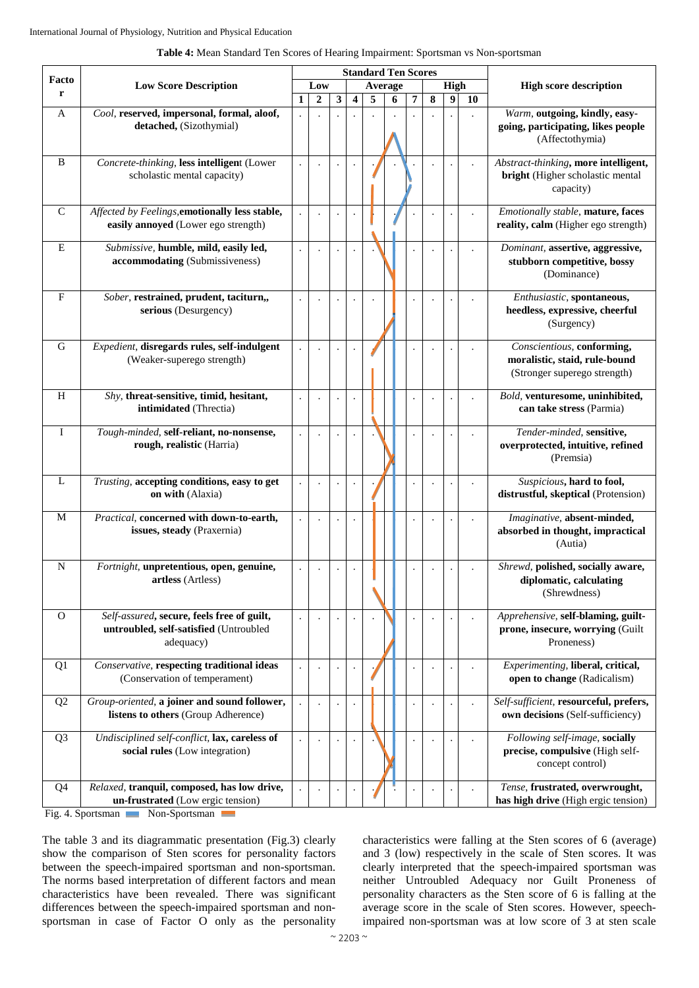|                |                                                                                                   |     |                  |                      |                      |   | <b>Standard Ten Scores</b> |   |   |                  |      |                                                                                             |  |
|----------------|---------------------------------------------------------------------------------------------------|-----|------------------|----------------------|----------------------|---|----------------------------|---|---|------------------|------|---------------------------------------------------------------------------------------------|--|
| Facto          | <b>Low Score Description</b>                                                                      | Low |                  |                      |                      |   | Average                    |   |   |                  | High | <b>High score description</b>                                                               |  |
| r              |                                                                                                   | 1   | $\boldsymbol{2}$ | 3                    | 4                    | 5 | 6                          | 7 | 8 | $\boldsymbol{9}$ | 10   |                                                                                             |  |
| A              | Cool, reserved, impersonal, formal, aloof,<br>detached, (Sizothymial)                             |     |                  |                      |                      |   |                            |   |   |                  |      | Warm, outgoing, kindly, easy-<br>going, participating, likes people<br>(Affectothymia)      |  |
| B              | Concrete-thinking, less intelligent (Lower<br>scholastic mental capacity)                         |     |                  |                      | $\cdot$              |   |                            |   |   |                  |      | Abstract-thinking, more intelligent,<br>bright (Higher scholastic mental<br>capacity)       |  |
| $\overline{C}$ | Affected by Feelings, emotionally less stable,<br>easily annoyed (Lower ego strength)             |     |                  | $\ddot{\phantom{a}}$ | $\cdot$              |   |                            |   |   |                  |      | Emotionally stable, mature, faces<br>reality, calm (Higher ego strength)                    |  |
| E              | Submissive, humble, mild, easily led,<br>accommodating (Submissiveness)                           |     |                  |                      |                      |   |                            |   |   |                  |      | Dominant, assertive, aggressive,<br>stubborn competitive, bossy<br>(Dominance)              |  |
| F              | Sober, restrained, prudent, taciturn,,<br>serious (Desurgency)                                    |     |                  |                      |                      |   |                            |   |   |                  |      | Enthusiastic, spontaneous,<br>heedless, expressive, cheerful<br>(Surgency)                  |  |
| $\mathbf G$    | Expedient, disregards rules, self-indulgent<br>(Weaker-superego strength)                         |     |                  | $\ddot{\phantom{0}}$ | $\ddot{\phantom{0}}$ |   |                            |   |   |                  |      | Conscientious, conforming,<br>moralistic, staid, rule-bound<br>(Stronger superego strength) |  |
| H              | Shy, threat-sensitive, timid, hesitant,<br>intimidated (Threctia)                                 |     |                  | $\ddot{\phantom{0}}$ | $\ddot{\phantom{0}}$ |   |                            |   |   |                  |      | Bold, venturesome, uninhibited,<br>can take stress (Parmia)                                 |  |
| I              | Tough-minded, self-reliant, no-nonsense,<br>rough, realistic (Harria)                             |     |                  | $\ddot{\phantom{0}}$ | $\ddot{\phantom{0}}$ |   |                            |   |   |                  |      | Tender-minded, sensitive,<br>overprotected, intuitive, refined<br>(Premsia)                 |  |
| L              | Trusting, accepting conditions, easy to get<br>on with (Alaxia)                                   |     |                  |                      | $\bullet$            |   |                            |   |   |                  |      | Suspicious, hard to fool,<br>distrustful, skeptical (Protension)                            |  |
| M              | Practical, concerned with down-to-earth,<br>issues, steady (Praxernia)                            |     |                  | $\cdot$              | $\cdot$              |   |                            |   |   |                  |      | Imaginative, absent-minded,<br>absorbed in thought, impractical<br>(Autia)                  |  |
| N              | Fortnight, unpretentious, open, genuine,<br>artless (Artless)                                     |     |                  |                      | $\cdot$              |   |                            |   |   |                  |      | Shrewd, polished, socially aware,<br>diplomatic, calculating<br>(Shrewdness)                |  |
| $\mathbf{O}$   | Self-assured, secure, feels free of guilt,<br>untroubled, self-satisfied (Untroubled<br>adequacy) |     |                  | $\cdot$              | $\cdot$              |   |                            |   |   |                  |      | Apprehensive, self-blaming, guilt-<br>prone, insecure, worrying (Guilt<br>Proneness)        |  |
| Q1             | Conservative, respecting traditional ideas<br>(Conservation of temperament)                       |     |                  | $\blacksquare$       | $\cdot$              |   |                            |   |   |                  |      | Experimenting, liberal, critical,<br>open to change (Radicalism)                            |  |
| Q2             | Group-oriented, a joiner and sound follower,<br>listens to others (Group Adherence)               |     |                  |                      |                      |   |                            |   |   |                  |      | Self-sufficient, resourceful, prefers,<br>own decisions (Self-sufficiency)                  |  |
| Q <sub>3</sub> | Undisciplined self-conflict, lax, careless of<br>social rules (Low integration)                   |     |                  | $\cdot$              | $\blacksquare$       |   |                            |   |   |                  |      | Following self-image, socially<br>precise, compulsive (High self-<br>concept control)       |  |
| Q <sub>4</sub> | Relaxed, tranquil, composed, has low drive,<br>un-frustrated (Low ergic tension)                  |     |                  |                      |                      |   |                            |   |   |                  |      | Tense, frustrated, overwrought,<br>has high drive (High ergic tension)                      |  |

#### **Table 4:** Mean Standard Ten Scores of Hearing Impairment: Sportsman vs Non-sportsman

Fig. 4. Sportsman Non-Sportsman

The table 3 and its diagrammatic presentation (Fig.3) clearly show the comparison of Sten scores for personality factors between the speech-impaired sportsman and non-sportsman. The norms based interpretation of different factors and mean characteristics have been revealed. There was significant differences between the speech-impaired sportsman and nonsportsman in case of Factor O only as the personality characteristics were falling at the Sten scores of 6 (average) and 3 (low) respectively in the scale of Sten scores. It was clearly interpreted that the speech-impaired sportsman was neither Untroubled Adequacy nor Guilt Proneness of personality characters as the Sten score of 6 is falling at the average score in the scale of Sten scores. However, speechimpaired non-sportsman was at low score of 3 at sten scale